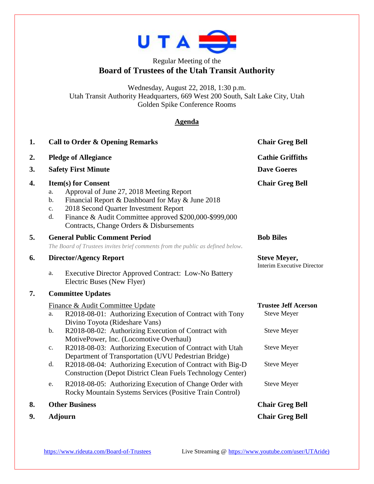

## Regular Meeting of the **Board of Trustees of the Utah Transit Authority**

Wednesday, August 22, 2018, 1:30 p.m. Utah Transit Authority Headquarters, 669 West 200 South, Salt Lake City, Utah Golden Spike Conference Rooms

## **Agenda**

| 1. | <b>Call to Order &amp; Opening Remarks</b><br><b>Pledge of Allegiance</b><br><b>Safety First Minute</b>                |                                                                                                                                                                                                                                                                                                                                                                                                                                                                                                                                                                                                                | <b>Chair Greg Bell</b><br><b>Cathie Griffiths</b><br><b>Dave Goeres</b>                                                                   |
|----|------------------------------------------------------------------------------------------------------------------------|----------------------------------------------------------------------------------------------------------------------------------------------------------------------------------------------------------------------------------------------------------------------------------------------------------------------------------------------------------------------------------------------------------------------------------------------------------------------------------------------------------------------------------------------------------------------------------------------------------------|-------------------------------------------------------------------------------------------------------------------------------------------|
| 2. |                                                                                                                        |                                                                                                                                                                                                                                                                                                                                                                                                                                                                                                                                                                                                                |                                                                                                                                           |
| 3. |                                                                                                                        |                                                                                                                                                                                                                                                                                                                                                                                                                                                                                                                                                                                                                |                                                                                                                                           |
| 4. | a.<br>b.<br>c.<br>d.                                                                                                   | <b>Item(s) for Consent</b><br>Approval of June 27, 2018 Meeting Report<br>Financial Report & Dashboard for May & June 2018<br>2018 Second Quarter Investment Report<br>Finance & Audit Committee approved \$200,000-\$999,000<br>Contracts, Change Orders & Disbursements                                                                                                                                                                                                                                                                                                                                      | <b>Chair Greg Bell</b>                                                                                                                    |
| 5. | <b>General Public Comment Period</b><br>The Board of Trustees invites brief comments from the public as defined below. |                                                                                                                                                                                                                                                                                                                                                                                                                                                                                                                                                                                                                | <b>Bob Biles</b>                                                                                                                          |
| 6. | a.                                                                                                                     | <b>Director/Agency Report</b><br>Executive Director Approved Contract: Low-No Battery<br>Electric Buses (New Flyer)                                                                                                                                                                                                                                                                                                                                                                                                                                                                                            | <b>Steve Meyer,</b><br><b>Interim Executive Director</b>                                                                                  |
| 7. |                                                                                                                        | <b>Committee Updates</b>                                                                                                                                                                                                                                                                                                                                                                                                                                                                                                                                                                                       |                                                                                                                                           |
|    | a.<br>b.<br>$\mathbf{c}.$<br>d.<br>e.                                                                                  | Finance & Audit Committee Update<br>R2018-08-01: Authorizing Execution of Contract with Tony<br>Divino Toyota (Rideshare Vans)<br>R2018-08-02: Authorizing Execution of Contract with<br>MotivePower, Inc. (Locomotive Overhaul)<br>R2018-08-03: Authorizing Execution of Contract with Utah<br>Department of Transportation (UVU Pedestrian Bridge)<br>R2018-08-04: Authorizing Execution of Contract with Big-D<br><b>Construction (Depot District Clean Fuels Technology Center)</b><br>R2018-08-05: Authorizing Execution of Change Order with<br>Rocky Mountain Systems Services (Positive Train Control) | <b>Trustee Jeff Acerson</b><br><b>Steve Meyer</b><br><b>Steve Meyer</b><br><b>Steve Meyer</b><br><b>Steve Meyer</b><br><b>Steve Meyer</b> |
| 8. | <b>Other Business</b>                                                                                                  |                                                                                                                                                                                                                                                                                                                                                                                                                                                                                                                                                                                                                | <b>Chair Greg Bell</b>                                                                                                                    |
| 9. | <b>Adjourn</b>                                                                                                         |                                                                                                                                                                                                                                                                                                                                                                                                                                                                                                                                                                                                                | <b>Chair Greg Bell</b>                                                                                                                    |